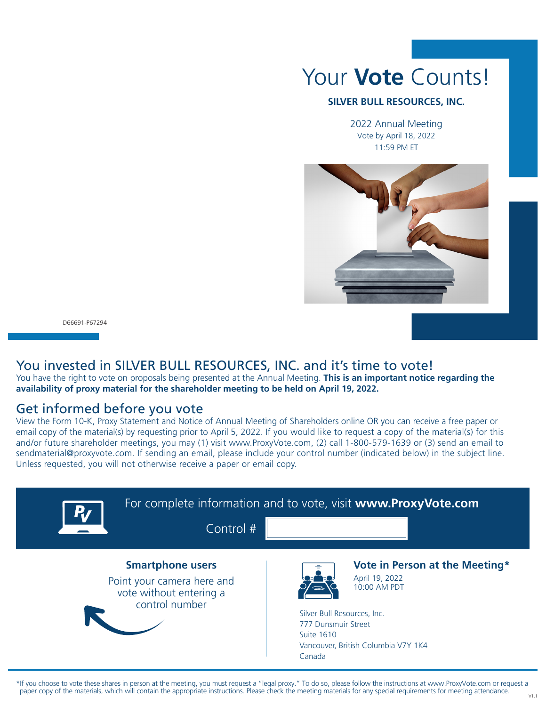

#### **SILVER BULL RESOURCES, INC.**

2022 Annual Meeting Vote by April 18, 2022 11:59 PM ET



D66691-P67294

### You invested in SILVER BULL RESOURCES, INC. and it's time to vote!

You have the right to vote on proposals being presented at the Annual Meeting. **This is an important notice regarding the availability of proxy material for the shareholder meeting to be held on April 19, 2022.**

### Get informed before you vote

View the Form 10-K, Proxy Statement and Notice of Annual Meeting of Shareholders online OR you can receive a free paper or email copy of the material(s) by requesting prior to April 5, 2022. If you would like to request a copy of the material(s) for this and/or future shareholder meetings, you may (1) visit www.ProxyVote.com, (2) call 1-800-579-1639 or (3) send an email to sendmaterial@proxyvote.com. If sending an email, please include your control number (indicated below) in the subject line. Unless requested, you will not otherwise receive a paper or email copy.



\*If you choose to vote these shares in person at the meeting, you must request a "legal proxy." To do so, please follow the instructions at www.ProxyVote.com or request a paper copy of the materials, which will contain the appropriate instructions. Please check the meeting materials for any special requirements for meeting attendance.